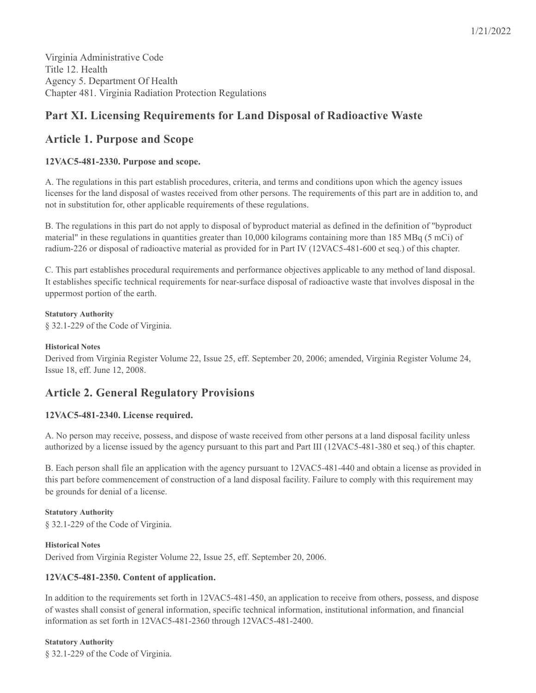Virginia Administrative Code Title 12. Health Agency 5. Department Of Health Chapter 481. Virginia Radiation Protection Regulations

# **Part XI. Licensing Requirements for Land Disposal of Radioactive Waste**

# **Article 1. Purpose and Scope**

## **12VAC5-481-2330. Purpose and scope.**

A. The regulations in this part establish procedures, criteria, and terms and conditions upon which the agency issues licenses for the land disposal of wastes received from other persons. The requirements of this part are in addition to, and not in substitution for, other applicable requirements of these regulations.

B. The regulations in this part do not apply to disposal of byproduct material as defined in the definition of "byproduct material" in these regulations in quantities greater than 10,000 kilograms containing more than 185 MBq (5 mCi) of radium-226 or disposal of radioactive material as provided for in Part IV (12VAC5-481-600 et seq.) of this chapter.

C. This part establishes procedural requirements and performance objectives applicable to any method of land disposal. It establishes specific technical requirements for near-surface disposal of radioactive waste that involves disposal in the uppermost portion of the earth.

#### **Statutory Authority**

§ 32.1-229 of the Code of Virginia.

## **Historical Notes**

Derived from Virginia Register Volume 22, Issue 25, eff. September 20, 2006; amended, Virginia Register Volume 24, Issue 18, eff. June 12, 2008.

# **Article 2. General Regulatory Provisions**

## **12VAC5-481-2340. License required.**

A. No person may receive, possess, and dispose of waste received from other persons at a land disposal facility unless authorized by a license issued by the agency pursuant to this part and Part III (12VAC5-481-380 et seq.) of this chapter.

B. Each person shall file an application with the agency pursuant to 12VAC5-481-440 and obtain a license as provided in this part before commencement of construction of a land disposal facility. Failure to comply with this requirement may be grounds for denial of a license.

**Statutory Authority** § 32.1-229 of the Code of Virginia.

**Historical Notes** Derived from Virginia Register Volume 22, Issue 25, eff. September 20, 2006.

## **12VAC5-481-2350. Content of application.**

In addition to the requirements set forth in 12VAC5-481-450, an application to receive from others, possess, and dispose of wastes shall consist of general information, specific technical information, institutional information, and financial information as set forth in 12VAC5-481-2360 through 12VAC5-481-2400.

## **Statutory Authority**

§ 32.1-229 of the Code of Virginia.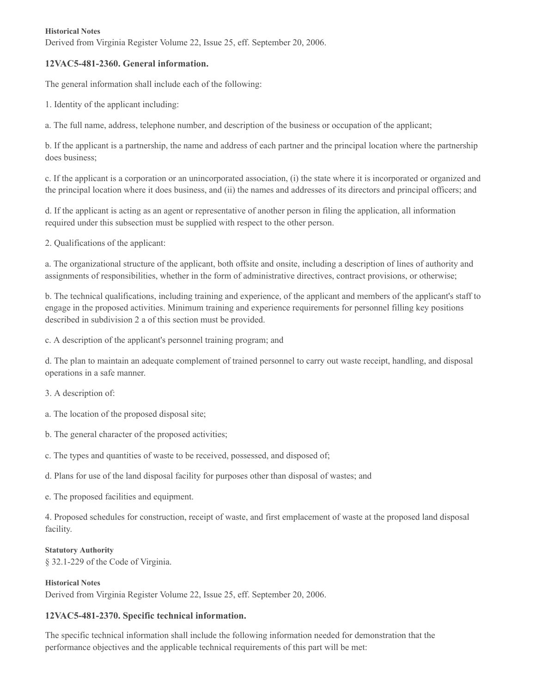#### **Historical Notes**

Derived from Virginia Register Volume 22, Issue 25, eff. September 20, 2006.

## **12VAC5-481-2360. General information.**

The general information shall include each of the following:

1. Identity of the applicant including:

a. The full name, address, telephone number, and description of the business or occupation of the applicant;

b. If the applicant is a partnership, the name and address of each partner and the principal location where the partnership does business;

c. If the applicant is a corporation or an unincorporated association, (i) the state where it is incorporated or organized and the principal location where it does business, and (ii) the names and addresses of its directors and principal officers; and

d. If the applicant is acting as an agent or representative of another person in filing the application, all information required under this subsection must be supplied with respect to the other person.

2. Qualifications of the applicant:

a. The organizational structure of the applicant, both offsite and onsite, including a description of lines of authority and assignments of responsibilities, whether in the form of administrative directives, contract provisions, or otherwise;

b. The technical qualifications, including training and experience, of the applicant and members of the applicant's staff to engage in the proposed activities. Minimum training and experience requirements for personnel filling key positions described in subdivision 2 a of this section must be provided.

c. A description of the applicant's personnel training program; and

d. The plan to maintain an adequate complement of trained personnel to carry out waste receipt, handling, and disposal operations in a safe manner.

- 3. A description of:
- a. The location of the proposed disposal site;
- b. The general character of the proposed activities;
- c. The types and quantities of waste to be received, possessed, and disposed of;
- d. Plans for use of the land disposal facility for purposes other than disposal of wastes; and
- e. The proposed facilities and equipment.

4. Proposed schedules for construction, receipt of waste, and first emplacement of waste at the proposed land disposal facility.

#### **Statutory Authority**

§ 32.1-229 of the Code of Virginia.

#### **Historical Notes**

Derived from Virginia Register Volume 22, Issue 25, eff. September 20, 2006.

## **12VAC5-481-2370. Specific technical information.**

The specific technical information shall include the following information needed for demonstration that the performance objectives and the applicable technical requirements of this part will be met: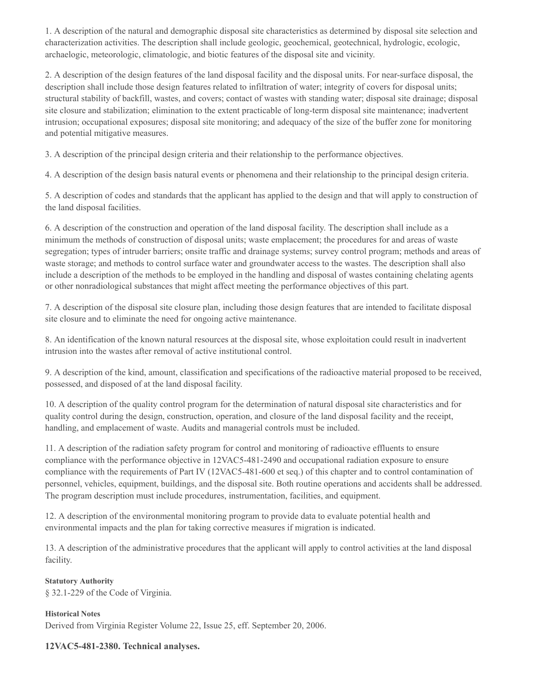1. A description of the natural and demographic disposal site characteristics as determined by disposal site selection and characterization activities. The description shall include geologic, geochemical, geotechnical, hydrologic, ecologic, archaelogic, meteorologic, climatologic, and biotic features of the disposal site and vicinity.

2. A description of the design features of the land disposal facility and the disposal units. For near-surface disposal, the description shall include those design features related to infiltration of water; integrity of covers for disposal units; structural stability of backfill, wastes, and covers; contact of wastes with standing water; disposal site drainage; disposal site closure and stabilization; elimination to the extent practicable of long-term disposal site maintenance; inadvertent intrusion; occupational exposures; disposal site monitoring; and adequacy of the size of the buffer zone for monitoring and potential mitigative measures.

3. A description of the principal design criteria and their relationship to the performance objectives.

4. A description of the design basis natural events or phenomena and their relationship to the principal design criteria.

5. A description of codes and standards that the applicant has applied to the design and that will apply to construction of the land disposal facilities.

6. A description of the construction and operation of the land disposal facility. The description shall include as a minimum the methods of construction of disposal units; waste emplacement; the procedures for and areas of waste segregation; types of intruder barriers; onsite traffic and drainage systems; survey control program; methods and areas of waste storage; and methods to control surface water and groundwater access to the wastes. The description shall also include a description of the methods to be employed in the handling and disposal of wastes containing chelating agents or other nonradiological substances that might affect meeting the performance objectives of this part.

7. A description of the disposal site closure plan, including those design features that are intended to facilitate disposal site closure and to eliminate the need for ongoing active maintenance.

8. An identification of the known natural resources at the disposal site, whose exploitation could result in inadvertent intrusion into the wastes after removal of active institutional control.

9. A description of the kind, amount, classification and specifications of the radioactive material proposed to be received, possessed, and disposed of at the land disposal facility.

10. A description of the quality control program for the determination of natural disposal site characteristics and for quality control during the design, construction, operation, and closure of the land disposal facility and the receipt, handling, and emplacement of waste. Audits and managerial controls must be included.

11. A description of the radiation safety program for control and monitoring of radioactive effluents to ensure compliance with the performance objective in 12VAC5-481-2490 and occupational radiation exposure to ensure compliance with the requirements of Part IV (12VAC5-481-600 et seq.) of this chapter and to control contamination of personnel, vehicles, equipment, buildings, and the disposal site. Both routine operations and accidents shall be addressed. The program description must include procedures, instrumentation, facilities, and equipment.

12. A description of the environmental monitoring program to provide data to evaluate potential health and environmental impacts and the plan for taking corrective measures if migration is indicated.

13. A description of the administrative procedures that the applicant will apply to control activities at the land disposal facility.

**Statutory Authority** § 32.1-229 of the Code of Virginia.

**Historical Notes** Derived from Virginia Register Volume 22, Issue 25, eff. September 20, 2006.

## **12VAC5-481-2380. Technical analyses.**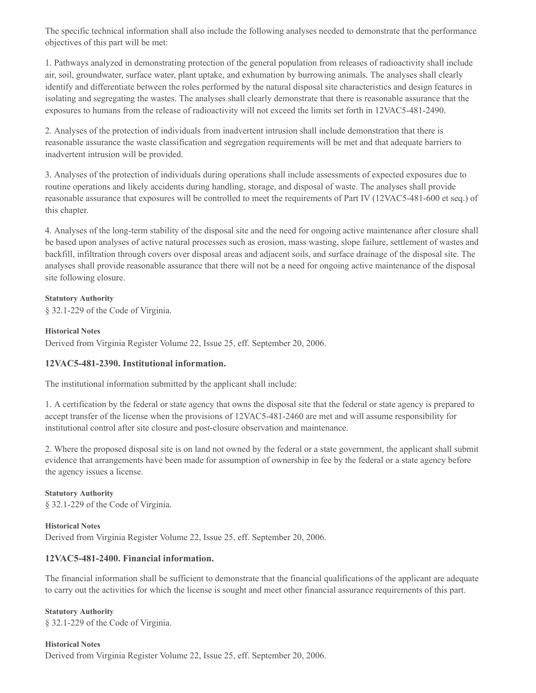The specific technical information shall also include the following analyses needed to demonstrate that the performance objectives of this part will be met:

1. Pathways analyzed in demonstrating protection of the general population from releases of radioactivity shall include air, soil, groundwater, surface water, plant uptake, and exhumation by burrowing animals. The analyses shall clearly identify and differentiate between the roles performed by the natural disposal site characteristics and design features in isolating and segregating the wastes. The analyses shall clearly demonstrate that there is reasonable assurance that the exposures to humans from the release of radioactivity will not exceed the limits set forth in 12VAC5-481-2490.

2. Analyses of the protection of individuals from inadvertent intrusion shall include demonstration that there is reasonable assurance the waste classification and segregation requirements will be met and that adequate barriers to inadvertent intrusion will be provided.

3. Analyses of the protection of individuals during operations shall include assessments of expected exposures due to routine operations and likely accidents during handling, storage, and disposal of waste. The analyses shall provide reasonable assurance that exposures will be controlled to meet the requirements of Part IV (12VAC5-481-600 et seq.) of this chapter.

4. Analyses of the long-term stability of the disposal site and the need for ongoing active maintenance after closure shall be based upon analyses of active natural processes such as erosion, mass wasting, slope failure, settlement of wastes and backfill, infiltration through covers over disposal areas and adjacent soils, and surface drainage of the disposal site. The analyses shall provide reasonable assurance that there will not be a need for ongoing active maintenance of the disposal site following closure.

**Statutory Authority**

§ 32.1-229 of the Code of Virginia.

## **Historical Notes**

Derived from Virginia Register Volume 22, Issue 25, eff. September 20, 2006.

## **12VAC5-481-2390. Institutional information.**

The institutional information submitted by the applicant shall include:

1. A certification by the federal or state agency that owns the disposal site that the federal or state agency is prepared to accept transfer of the license when the provisions of 12VAC5-481-2460 are met and will assume responsibility for institutional control after site closure and post-closure observation and maintenance.

2. Where the proposed disposal site is on land not owned by the federal or a state government, the applicant shall submit evidence that arrangements have been made for assumption of ownership in fee by the federal or a state agency before the agency issues a license.

**Statutory Authority** § 32.1-229 of the Code of Virginia.

**Historical Notes** Derived from Virginia Register Volume 22, Issue 25, eff. September 20, 2006.

## **12VAC5-481-2400. Financial information.**

The financial information shall be sufficient to demonstrate that the financial qualifications of the applicant are adequate to carry out the activities for which the license is sought and meet other financial assurance requirements of this part.

**Statutory Authority** § 32.1-229 of the Code of Virginia.

**Historical Notes** Derived from Virginia Register Volume 22, Issue 25, eff. September 20, 2006.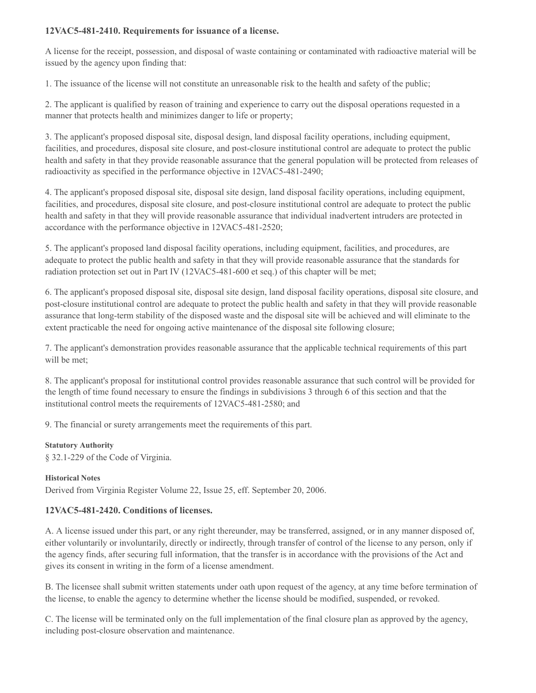## **12VAC5-481-2410. Requirements for issuance of a license.**

A license for the receipt, possession, and disposal of waste containing or contaminated with radioactive material will be issued by the agency upon finding that:

1. The issuance of the license will not constitute an unreasonable risk to the health and safety of the public;

2. The applicant is qualified by reason of training and experience to carry out the disposal operations requested in a manner that protects health and minimizes danger to life or property;

3. The applicant's proposed disposal site, disposal design, land disposal facility operations, including equipment, facilities, and procedures, disposal site closure, and post-closure institutional control are adequate to protect the public health and safety in that they provide reasonable assurance that the general population will be protected from releases of radioactivity as specified in the performance objective in 12VAC5-481-2490;

4. The applicant's proposed disposal site, disposal site design, land disposal facility operations, including equipment, facilities, and procedures, disposal site closure, and post-closure institutional control are adequate to protect the public health and safety in that they will provide reasonable assurance that individual inadvertent intruders are protected in accordance with the performance objective in 12VAC5-481-2520;

5. The applicant's proposed land disposal facility operations, including equipment, facilities, and procedures, are adequate to protect the public health and safety in that they will provide reasonable assurance that the standards for radiation protection set out in Part IV (12VAC5-481-600 et seq.) of this chapter will be met;

6. The applicant's proposed disposal site, disposal site design, land disposal facility operations, disposal site closure, and post-closure institutional control are adequate to protect the public health and safety in that they will provide reasonable assurance that long-term stability of the disposed waste and the disposal site will be achieved and will eliminate to the extent practicable the need for ongoing active maintenance of the disposal site following closure;

7. The applicant's demonstration provides reasonable assurance that the applicable technical requirements of this part will be met;

8. The applicant's proposal for institutional control provides reasonable assurance that such control will be provided for the length of time found necessary to ensure the findings in subdivisions 3 through 6 of this section and that the institutional control meets the requirements of 12VAC5-481-2580; and

9. The financial or surety arrangements meet the requirements of this part.

#### **Statutory Authority**

§ 32.1-229 of the Code of Virginia.

#### **Historical Notes**

Derived from Virginia Register Volume 22, Issue 25, eff. September 20, 2006.

## **12VAC5-481-2420. Conditions of licenses.**

A. A license issued under this part, or any right thereunder, may be transferred, assigned, or in any manner disposed of, either voluntarily or involuntarily, directly or indirectly, through transfer of control of the license to any person, only if the agency finds, after securing full information, that the transfer is in accordance with the provisions of the Act and gives its consent in writing in the form of a license amendment.

B. The licensee shall submit written statements under oath upon request of the agency, at any time before termination of the license, to enable the agency to determine whether the license should be modified, suspended, or revoked.

C. The license will be terminated only on the full implementation of the final closure plan as approved by the agency, including post-closure observation and maintenance.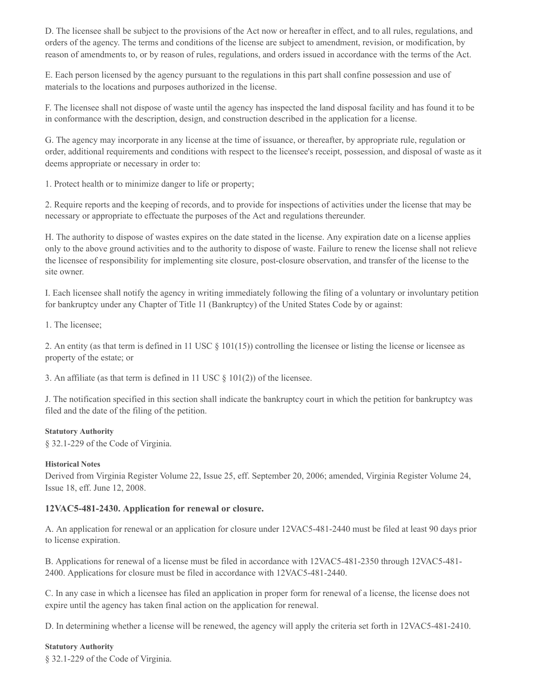D. The licensee shall be subject to the provisions of the Act now or hereafter in effect, and to all rules, regulations, and orders of the agency. The terms and conditions of the license are subject to amendment, revision, or modification, by reason of amendments to, or by reason of rules, regulations, and orders issued in accordance with the terms of the Act.

E. Each person licensed by the agency pursuant to the regulations in this part shall confine possession and use of materials to the locations and purposes authorized in the license.

F. The licensee shall not dispose of waste until the agency has inspected the land disposal facility and has found it to be in conformance with the description, design, and construction described in the application for a license.

G. The agency may incorporate in any license at the time of issuance, or thereafter, by appropriate rule, regulation or order, additional requirements and conditions with respect to the licensee's receipt, possession, and disposal of waste as it deems appropriate or necessary in order to:

1. Protect health or to minimize danger to life or property;

2. Require reports and the keeping of records, and to provide for inspections of activities under the license that may be necessary or appropriate to effectuate the purposes of the Act and regulations thereunder.

H. The authority to dispose of wastes expires on the date stated in the license. Any expiration date on a license applies only to the above ground activities and to the authority to dispose of waste. Failure to renew the license shall not relieve the licensee of responsibility for implementing site closure, post-closure observation, and transfer of the license to the site owner.

I. Each licensee shall notify the agency in writing immediately following the filing of a voluntary or involuntary petition for bankruptcy under any Chapter of Title 11 (Bankruptcy) of the United States Code by or against:

1. The licensee;

2. An entity (as that term is defined in 11 USC  $\S$  101(15)) controlling the licensee or listing the license or licensee as property of the estate; or

3. An affiliate (as that term is defined in 11 USC  $\S$  101(2)) of the licensee.

J. The notification specified in this section shall indicate the bankruptcy court in which the petition for bankruptcy was filed and the date of the filing of the petition.

#### **Statutory Authority**

§ 32.1-229 of the Code of Virginia.

#### **Historical Notes**

Derived from Virginia Register Volume 22, Issue 25, eff. September 20, 2006; amended, Virginia Register Volume 24, Issue 18, eff. June 12, 2008.

## **12VAC5-481-2430. Application for renewal or closure.**

A. An application for renewal or an application for closure under 12VAC5-481-2440 must be filed at least 90 days prior to license expiration.

B. Applications for renewal of a license must be filed in accordance with 12VAC5-481-2350 through 12VAC5-481- 2400. Applications for closure must be filed in accordance with 12VAC5-481-2440.

C. In any case in which a licensee has filed an application in proper form for renewal of a license, the license does not expire until the agency has taken final action on the application for renewal.

D. In determining whether a license will be renewed, the agency will apply the criteria set forth in 12VAC5-481-2410.

#### **Statutory Authority**

§ 32.1-229 of the Code of Virginia.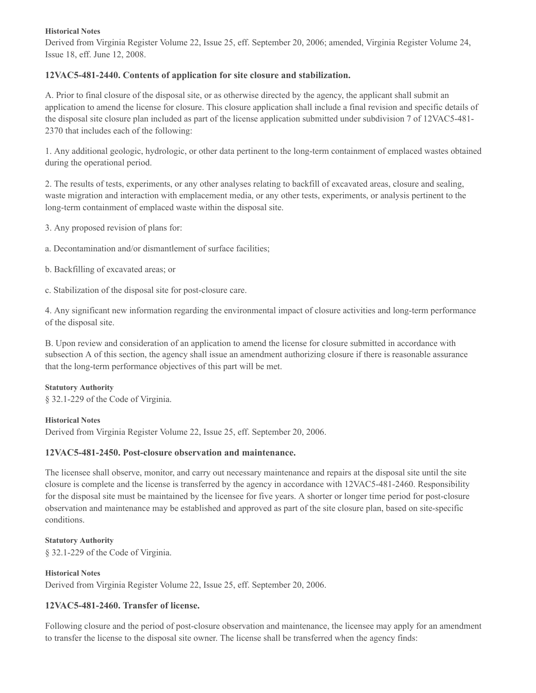#### **Historical Notes**

Derived from Virginia Register Volume 22, Issue 25, eff. September 20, 2006; amended, Virginia Register Volume 24, Issue 18, eff. June 12, 2008.

## **12VAC5-481-2440. Contents of application for site closure and stabilization.**

A. Prior to final closure of the disposal site, or as otherwise directed by the agency, the applicant shall submit an application to amend the license for closure. This closure application shall include a final revision and specific details of the disposal site closure plan included as part of the license application submitted under subdivision 7 of 12VAC5-481- 2370 that includes each of the following:

1. Any additional geologic, hydrologic, or other data pertinent to the long-term containment of emplaced wastes obtained during the operational period.

2. The results of tests, experiments, or any other analyses relating to backfill of excavated areas, closure and sealing, waste migration and interaction with emplacement media, or any other tests, experiments, or analysis pertinent to the long-term containment of emplaced waste within the disposal site.

3. Any proposed revision of plans for:

a. Decontamination and/or dismantlement of surface facilities;

b. Backfilling of excavated areas; or

c. Stabilization of the disposal site for post-closure care.

4. Any significant new information regarding the environmental impact of closure activities and long-term performance of the disposal site.

B. Upon review and consideration of an application to amend the license for closure submitted in accordance with subsection A of this section, the agency shall issue an amendment authorizing closure if there is reasonable assurance that the long-term performance objectives of this part will be met.

## **Statutory Authority**

§ 32.1-229 of the Code of Virginia.

## **Historical Notes**

Derived from Virginia Register Volume 22, Issue 25, eff. September 20, 2006.

# **12VAC5-481-2450. Post-closure observation and maintenance.**

The licensee shall observe, monitor, and carry out necessary maintenance and repairs at the disposal site until the site closure is complete and the license is transferred by the agency in accordance with 12VAC5-481-2460. Responsibility for the disposal site must be maintained by the licensee for five years. A shorter or longer time period for post-closure observation and maintenance may be established and approved as part of the site closure plan, based on site-specific conditions.

# **Statutory Authority**

§ 32.1-229 of the Code of Virginia.

## **Historical Notes**

Derived from Virginia Register Volume 22, Issue 25, eff. September 20, 2006.

# **12VAC5-481-2460. Transfer of license.**

Following closure and the period of post-closure observation and maintenance, the licensee may apply for an amendment to transfer the license to the disposal site owner. The license shall be transferred when the agency finds: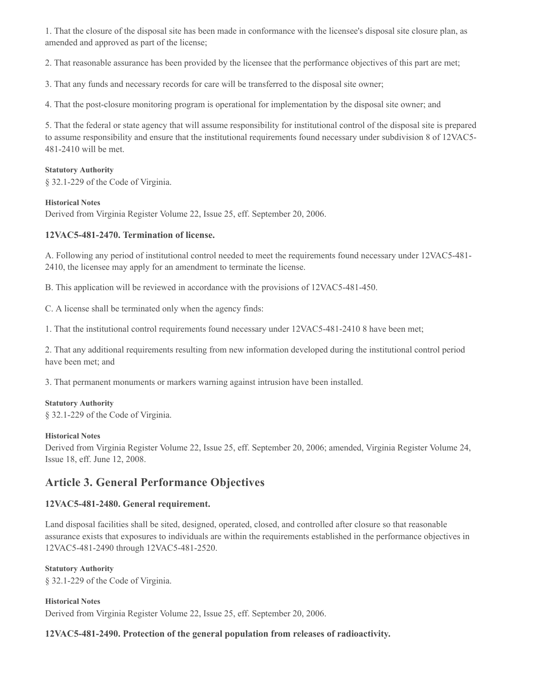1. That the closure of the disposal site has been made in conformance with the licensee's disposal site closure plan, as amended and approved as part of the license;

2. That reasonable assurance has been provided by the licensee that the performance objectives of this part are met;

3. That any funds and necessary records for care will be transferred to the disposal site owner;

4. That the post-closure monitoring program is operational for implementation by the disposal site owner; and

5. That the federal or state agency that will assume responsibility for institutional control of the disposal site is prepared to assume responsibility and ensure that the institutional requirements found necessary under subdivision 8 of 12VAC5- 481-2410 will be met.

#### **Statutory Authority**

§ 32.1-229 of the Code of Virginia.

#### **Historical Notes**

Derived from Virginia Register Volume 22, Issue 25, eff. September 20, 2006.

#### **12VAC5-481-2470. Termination of license.**

A. Following any period of institutional control needed to meet the requirements found necessary under 12VAC5-481- 2410, the licensee may apply for an amendment to terminate the license.

B. This application will be reviewed in accordance with the provisions of 12VAC5-481-450.

C. A license shall be terminated only when the agency finds:

1. That the institutional control requirements found necessary under 12VAC5-481-2410 8 have been met;

2. That any additional requirements resulting from new information developed during the institutional control period have been met; and

3. That permanent monuments or markers warning against intrusion have been installed.

#### **Statutory Authority**

§ 32.1-229 of the Code of Virginia.

#### **Historical Notes**

Derived from Virginia Register Volume 22, Issue 25, eff. September 20, 2006; amended, Virginia Register Volume 24, Issue 18, eff. June 12, 2008.

# **Article 3. General Performance Objectives**

## **12VAC5-481-2480. General requirement.**

Land disposal facilities shall be sited, designed, operated, closed, and controlled after closure so that reasonable assurance exists that exposures to individuals are within the requirements established in the performance objectives in 12VAC5-481-2490 through 12VAC5-481-2520.

#### **Statutory Authority**

§ 32.1-229 of the Code of Virginia.

**Historical Notes** Derived from Virginia Register Volume 22, Issue 25, eff. September 20, 2006.

## **12VAC5-481-2490. Protection of the general population from releases of radioactivity.**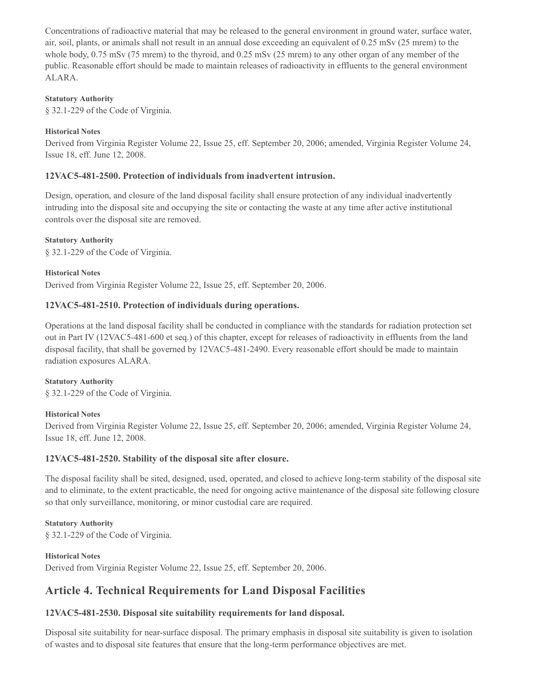Concentrations of radioactive material that may be released to the general environment in ground water, surface water, air, soil, plants, or animals shall not result in an annual dose exceeding an equivalent of 0.25 mSv (25 mrem) to the whole body,  $0.75$  mSv (75 mrem) to the thyroid, and  $0.25$  mSv (25 mrem) to any other organ of any member of the public. Reasonable effort should be made to maintain releases of radioactivity in effluents to the general environment ALARA.

## **Statutory Authority**

§ 32.1-229 of the Code of Virginia.

#### **Historical Notes**

Derived from Virginia Register Volume 22, Issue 25, eff. September 20, 2006; amended, Virginia Register Volume 24, Issue 18, eff. June 12, 2008.

## **12VAC5-481-2500. Protection of individuals from inadvertent intrusion.**

Design, operation, and closure of the land disposal facility shall ensure protection of any individual inadvertently intruding into the disposal site and occupying the site or contacting the waste at any time after active institutional controls over the disposal site are removed.

#### **Statutory Authority**

§ 32.1-229 of the Code of Virginia.

#### **Historical Notes**

Derived from Virginia Register Volume 22, Issue 25, eff. September 20, 2006.

## **12VAC5-481-2510. Protection of individuals during operations.**

Operations at the land disposal facility shall be conducted in compliance with the standards for radiation protection set out in Part IV (12VAC5-481-600 et seq.) of this chapter, except for releases of radioactivity in effluents from the land disposal facility, that shall be governed by 12VAC5-481-2490. Every reasonable effort should be made to maintain radiation exposures ALARA.

#### **Statutory Authority**

§ 32.1-229 of the Code of Virginia.

#### **Historical Notes**

Derived from Virginia Register Volume 22, Issue 25, eff. September 20, 2006; amended, Virginia Register Volume 24, Issue 18, eff. June 12, 2008.

## **12VAC5-481-2520. Stability of the disposal site after closure.**

The disposal facility shall be sited, designed, used, operated, and closed to achieve long-term stability of the disposal site and to eliminate, to the extent practicable, the need for ongoing active maintenance of the disposal site following closure so that only surveillance, monitoring, or minor custodial care are required.

#### **Statutory Authority**

§ 32.1-229 of the Code of Virginia.

#### **Historical Notes**

Derived from Virginia Register Volume 22, Issue 25, eff. September 20, 2006.

# **Article 4. Technical Requirements for Land Disposal Facilities**

## **12VAC5-481-2530. Disposal site suitability requirements for land disposal.**

Disposal site suitability for near-surface disposal. The primary emphasis in disposal site suitability is given to isolation of wastes and to disposal site features that ensure that the long-term performance objectives are met.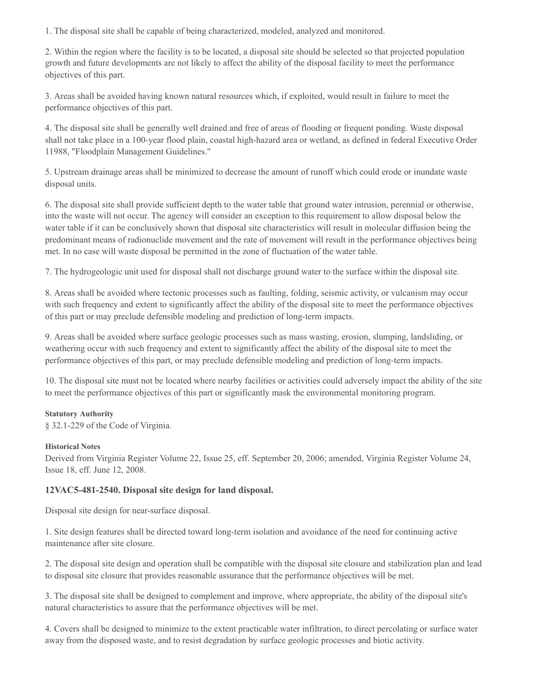1. The disposal site shall be capable of being characterized, modeled, analyzed and monitored.

2. Within the region where the facility is to be located, a disposal site should be selected so that projected population growth and future developments are not likely to affect the ability of the disposal facility to meet the performance objectives of this part.

3. Areas shall be avoided having known natural resources which, if exploited, would result in failure to meet the performance objectives of this part.

4. The disposal site shall be generally well drained and free of areas of flooding or frequent ponding. Waste disposal shall not take place in a 100-year flood plain, coastal high-hazard area or wetland, as defined in federal Executive Order 11988, "Floodplain Management Guidelines."

5. Upstream drainage areas shall be minimized to decrease the amount of runoff which could erode or inundate waste disposal units.

6. The disposal site shall provide sufficient depth to the water table that ground water intrusion, perennial or otherwise, into the waste will not occur. The agency will consider an exception to this requirement to allow disposal below the water table if it can be conclusively shown that disposal site characteristics will result in molecular diffusion being the predominant means of radionuclide movement and the rate of movement will result in the performance objectives being met. In no case will waste disposal be permitted in the zone of fluctuation of the water table.

7. The hydrogeologic unit used for disposal shall not discharge ground water to the surface within the disposal site.

8. Areas shall be avoided where tectonic processes such as faulting, folding, seismic activity, or vulcanism may occur with such frequency and extent to significantly affect the ability of the disposal site to meet the performance objectives of this part or may preclude defensible modeling and prediction of long-term impacts.

9. Areas shall be avoided where surface geologic processes such as mass wasting, erosion, slumping, landsliding, or weathering occur with such frequency and extent to significantly affect the ability of the disposal site to meet the performance objectives of this part, or may preclude defensible modeling and prediction of long-term impacts.

10. The disposal site must not be located where nearby facilities or activities could adversely impact the ability of the site to meet the performance objectives of this part or significantly mask the environmental monitoring program.

## **Statutory Authority**

§ 32.1-229 of the Code of Virginia.

## **Historical Notes**

Derived from Virginia Register Volume 22, Issue 25, eff. September 20, 2006; amended, Virginia Register Volume 24, Issue 18, eff. June 12, 2008.

## **12VAC5-481-2540. Disposal site design for land disposal.**

Disposal site design for near-surface disposal.

1. Site design features shall be directed toward long-term isolation and avoidance of the need for continuing active maintenance after site closure.

2. The disposal site design and operation shall be compatible with the disposal site closure and stabilization plan and lead to disposal site closure that provides reasonable assurance that the performance objectives will be met.

3. The disposal site shall be designed to complement and improve, where appropriate, the ability of the disposal site's natural characteristics to assure that the performance objectives will be met.

4. Covers shall be designed to minimize to the extent practicable water infiltration, to direct percolating or surface water away from the disposed waste, and to resist degradation by surface geologic processes and biotic activity.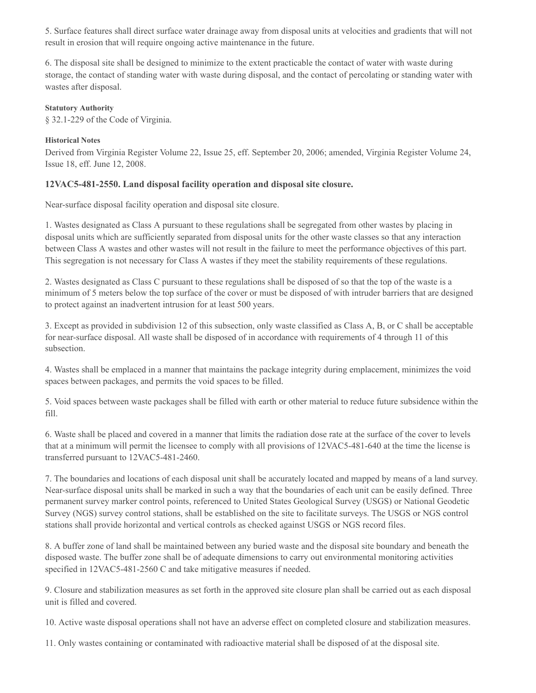5. Surface features shall direct surface water drainage away from disposal units at velocities and gradients that will not result in erosion that will require ongoing active maintenance in the future.

6. The disposal site shall be designed to minimize to the extent practicable the contact of water with waste during storage, the contact of standing water with waste during disposal, and the contact of percolating or standing water with wastes after disposal.

#### **Statutory Authority**

§ 32.1-229 of the Code of Virginia.

## **Historical Notes**

Derived from Virginia Register Volume 22, Issue 25, eff. September 20, 2006; amended, Virginia Register Volume 24, Issue 18, eff. June 12, 2008.

## **12VAC5-481-2550. Land disposal facility operation and disposal site closure.**

Near-surface disposal facility operation and disposal site closure.

1. Wastes designated as Class A pursuant to these regulations shall be segregated from other wastes by placing in disposal units which are sufficiently separated from disposal units for the other waste classes so that any interaction between Class A wastes and other wastes will not result in the failure to meet the performance objectives of this part. This segregation is not necessary for Class A wastes if they meet the stability requirements of these regulations.

2. Wastes designated as Class C pursuant to these regulations shall be disposed of so that the top of the waste is a minimum of 5 meters below the top surface of the cover or must be disposed of with intruder barriers that are designed to protect against an inadvertent intrusion for at least 500 years.

3. Except as provided in subdivision 12 of this subsection, only waste classified as Class A, B, or C shall be acceptable for near-surface disposal. All waste shall be disposed of in accordance with requirements of 4 through 11 of this subsection.

4. Wastes shall be emplaced in a manner that maintains the package integrity during emplacement, minimizes the void spaces between packages, and permits the void spaces to be filled.

5. Void spaces between waste packages shall be filled with earth or other material to reduce future subsidence within the fill.

6. Waste shall be placed and covered in a manner that limits the radiation dose rate at the surface of the cover to levels that at a minimum will permit the licensee to comply with all provisions of 12VAC5-481-640 at the time the license is transferred pursuant to 12VAC5-481-2460.

7. The boundaries and locations of each disposal unit shall be accurately located and mapped by means of a land survey. Near-surface disposal units shall be marked in such a way that the boundaries of each unit can be easily defined. Three permanent survey marker control points, referenced to United States Geological Survey (USGS) or National Geodetic Survey (NGS) survey control stations, shall be established on the site to facilitate surveys. The USGS or NGS control stations shall provide horizontal and vertical controls as checked against USGS or NGS record files.

8. A buffer zone of land shall be maintained between any buried waste and the disposal site boundary and beneath the disposed waste. The buffer zone shall be of adequate dimensions to carry out environmental monitoring activities specified in 12VAC5-481-2560 C and take mitigative measures if needed.

9. Closure and stabilization measures as set forth in the approved site closure plan shall be carried out as each disposal unit is filled and covered.

10. Active waste disposal operations shall not have an adverse effect on completed closure and stabilization measures.

11. Only wastes containing or contaminated with radioactive material shall be disposed of at the disposal site.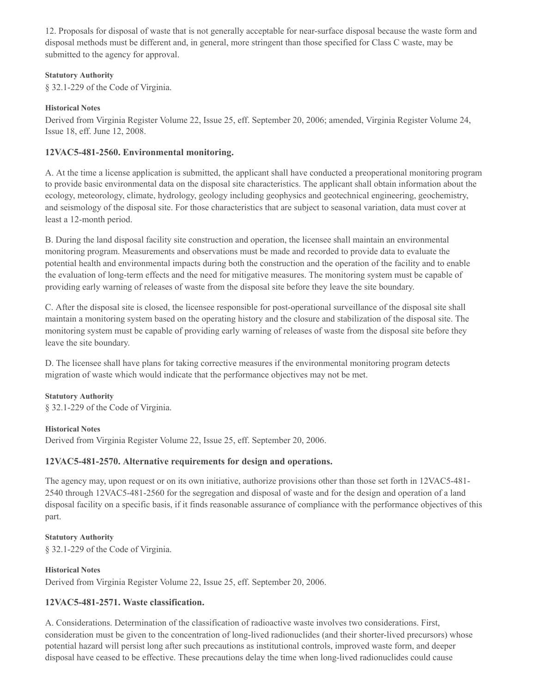12. Proposals for disposal of waste that is not generally acceptable for near-surface disposal because the waste form and disposal methods must be different and, in general, more stringent than those specified for Class C waste, may be submitted to the agency for approval.

#### **Statutory Authority**

§ 32.1-229 of the Code of Virginia.

## **Historical Notes**

Derived from Virginia Register Volume 22, Issue 25, eff. September 20, 2006; amended, Virginia Register Volume 24, Issue 18, eff. June 12, 2008.

## **12VAC5-481-2560. Environmental monitoring.**

A. At the time a license application is submitted, the applicant shall have conducted a preoperational monitoring program to provide basic environmental data on the disposal site characteristics. The applicant shall obtain information about the ecology, meteorology, climate, hydrology, geology including geophysics and geotechnical engineering, geochemistry, and seismology of the disposal site. For those characteristics that are subject to seasonal variation, data must cover at least a 12-month period.

B. During the land disposal facility site construction and operation, the licensee shall maintain an environmental monitoring program. Measurements and observations must be made and recorded to provide data to evaluate the potential health and environmental impacts during both the construction and the operation of the facility and to enable the evaluation of long-term effects and the need for mitigative measures. The monitoring system must be capable of providing early warning of releases of waste from the disposal site before they leave the site boundary.

C. After the disposal site is closed, the licensee responsible for post-operational surveillance of the disposal site shall maintain a monitoring system based on the operating history and the closure and stabilization of the disposal site. The monitoring system must be capable of providing early warning of releases of waste from the disposal site before they leave the site boundary.

D. The licensee shall have plans for taking corrective measures if the environmental monitoring program detects migration of waste which would indicate that the performance objectives may not be met.

#### **Statutory Authority**

§ 32.1-229 of the Code of Virginia.

**Historical Notes**

Derived from Virginia Register Volume 22, Issue 25, eff. September 20, 2006.

## **12VAC5-481-2570. Alternative requirements for design and operations.**

The agency may, upon request or on its own initiative, authorize provisions other than those set forth in 12VAC5-481- 2540 through 12VAC5-481-2560 for the segregation and disposal of waste and for the design and operation of a land disposal facility on a specific basis, if it finds reasonable assurance of compliance with the performance objectives of this part.

# **Statutory Authority** § 32.1-229 of the Code of Virginia.

**Historical Notes**

Derived from Virginia Register Volume 22, Issue 25, eff. September 20, 2006.

# **12VAC5-481-2571. Waste classification.**

A. Considerations. Determination of the classification of radioactive waste involves two considerations. First, consideration must be given to the concentration of long-lived radionuclides (and their shorter-lived precursors) whose potential hazard will persist long after such precautions as institutional controls, improved waste form, and deeper disposal have ceased to be effective. These precautions delay the time when long-lived radionuclides could cause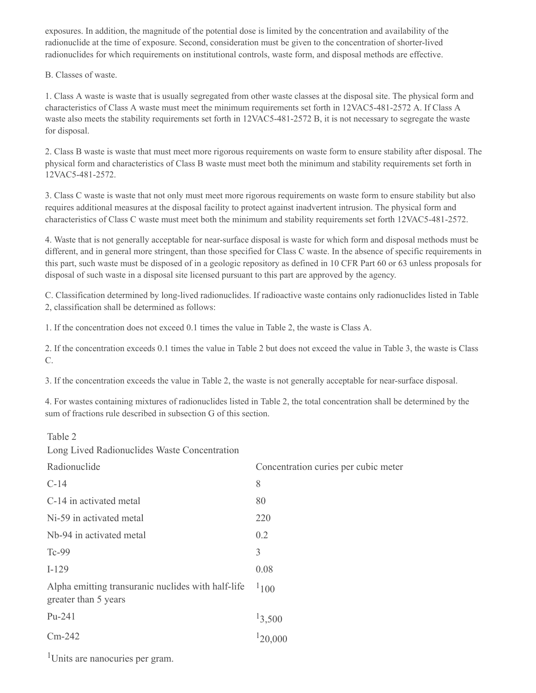exposures. In addition, the magnitude of the potential dose is limited by the concentration and availability of the radionuclide at the time of exposure. Second, consideration must be given to the concentration of shorter-lived radionuclides for which requirements on institutional controls, waste form, and disposal methods are effective.

## B. Classes of waste.

1. Class A waste is waste that is usually segregated from other waste classes at the disposal site. The physical form and characteristics of Class A waste must meet the minimum requirements set forth in 12VAC5-481-2572 A. If Class A waste also meets the stability requirements set forth in 12VAC5-481-2572 B, it is not necessary to segregate the waste for disposal.

2. Class B waste is waste that must meet more rigorous requirements on waste form to ensure stability after disposal. The physical form and characteristics of Class B waste must meet both the minimum and stability requirements set forth in 12VAC5-481-2572.

3. Class C waste is waste that not only must meet more rigorous requirements on waste form to ensure stability but also requires additional measures at the disposal facility to protect against inadvertent intrusion. The physical form and characteristics of Class C waste must meet both the minimum and stability requirements set forth 12VAC5-481-2572.

4. Waste that is not generally acceptable for near-surface disposal is waste for which form and disposal methods must be different, and in general more stringent, than those specified for Class C waste. In the absence of specific requirements in this part, such waste must be disposed of in a geologic repository as defined in 10 CFR Part 60 or 63 unless proposals for disposal of such waste in a disposal site licensed pursuant to this part are approved by the agency.

C. Classification determined by long-lived radionuclides. If radioactive waste contains only radionuclides listed in Table 2, classification shall be determined as follows:

1. If the concentration does not exceed 0.1 times the value in Table 2, the waste is Class A.

2. If the concentration exceeds 0.1 times the value in Table 2 but does not exceed the value in Table 3, the waste is Class C.

3. If the concentration exceeds the value in Table 2, the waste is not generally acceptable for near-surface disposal.

4. For wastes containing mixtures of radionuclides listed in Table 2, the total concentration shall be determined by the sum of fractions rule described in subsection G of this section.

#### Table 2

Long Lived Radionuclides Waste Concentration

| Radionuclide                                                               | Concentration curies per cubic meter |
|----------------------------------------------------------------------------|--------------------------------------|
| $C-14$                                                                     | 8                                    |
| C-14 in activated metal                                                    | 80                                   |
| Ni-59 in activated metal                                                   | 220                                  |
| Nb-94 in activated metal                                                   | 0.2                                  |
| Tc-99                                                                      | 3                                    |
| $I-129$                                                                    | 0.08                                 |
| Alpha emitting transuranic nuclides with half-life<br>greater than 5 years | 1100                                 |
| Pu-241                                                                     | 13,500                               |
| $Cm-242$                                                                   | 120,000                              |

Units are nanocuries per gram.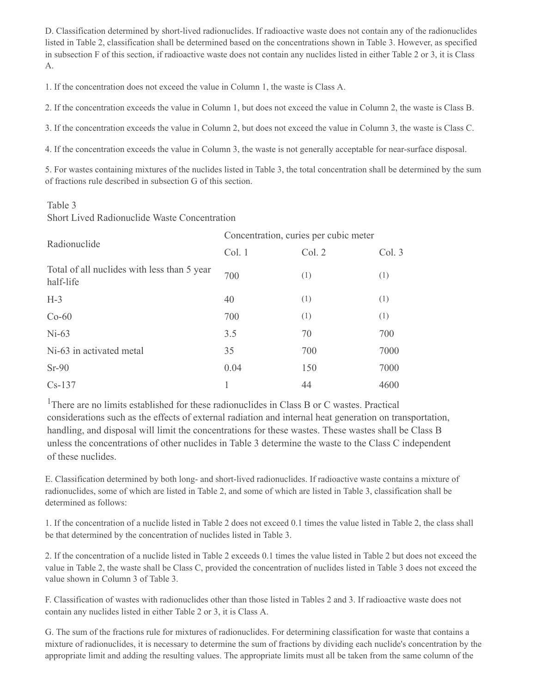D. Classification determined by short-lived radionuclides. If radioactive waste does not contain any of the radionuclides listed in Table 2, classification shall be determined based on the concentrations shown in Table 3. However, as specified in subsection F of this section, if radioactive waste does not contain any nuclides listed in either Table 2 or 3, it is Class A.

1. If the concentration does not exceed the value in Column 1, the waste is Class A.

2. If the concentration exceeds the value in Column 1, but does not exceed the value in Column 2, the waste is Class B.

3. If the concentration exceeds the value in Column 2, but does not exceed the value in Column 3, the waste is Class C.

4. If the concentration exceeds the value in Column 3, the waste is not generally acceptable for near-surface disposal.

5. For wastes containing mixtures of the nuclides listed in Table 3, the total concentration shall be determined by the sum of fractions rule described in subsection G of this section.

## Table 3

Short Lived Radionuclide Waste Concentration

| Radionuclide                                             | Concentration, curies per cubic meter |        |        |
|----------------------------------------------------------|---------------------------------------|--------|--------|
|                                                          | Col. 1                                | Col. 2 | Col. 3 |
| Total of all nuclides with less than 5 year<br>half-life | 700                                   | (1)    | (1)    |
| $H-3$                                                    | 40                                    | (1)    | (1)    |
| $Co-60$                                                  | 700                                   | (1)    | (1)    |
| $Ni-63$                                                  | 3.5                                   | 70     | 700    |
| Ni-63 in activated metal                                 | 35                                    | 700    | 7000   |
| $Sr-90$                                                  | 0.04                                  | 150    | 7000   |
| $Cs-137$                                                 |                                       | 44     | 4600   |

<sup>1</sup>There are no limits established for these radionuclides in Class B or C wastes. Practical considerations such as the effects of external radiation and internal heat generation on transportation, handling, and disposal will limit the concentrations for these wastes. These wastes shall be Class B unless the concentrations of other nuclides in Table 3 determine the waste to the Class C independent of these nuclides.

E. Classification determined by both long- and short-lived radionuclides. If radioactive waste contains a mixture of radionuclides, some of which are listed in Table 2, and some of which are listed in Table 3, classification shall be determined as follows:

1. If the concentration of a nuclide listed in Table 2 does not exceed 0.1 times the value listed in Table 2, the class shall be that determined by the concentration of nuclides listed in Table 3.

2. If the concentration of a nuclide listed in Table 2 exceeds 0.1 times the value listed in Table 2 but does not exceed the value in Table 2, the waste shall be Class C, provided the concentration of nuclides listed in Table 3 does not exceed the value shown in Column 3 of Table 3.

F. Classification of wastes with radionuclides other than those listed in Tables 2 and 3. If radioactive waste does not contain any nuclides listed in either Table 2 or 3, it is Class A.

G. The sum of the fractions rule for mixtures of radionuclides. For determining classification for waste that contains a mixture of radionuclides, it is necessary to determine the sum of fractions by dividing each nuclide's concentration by the appropriate limit and adding the resulting values. The appropriate limits must all be taken from the same column of the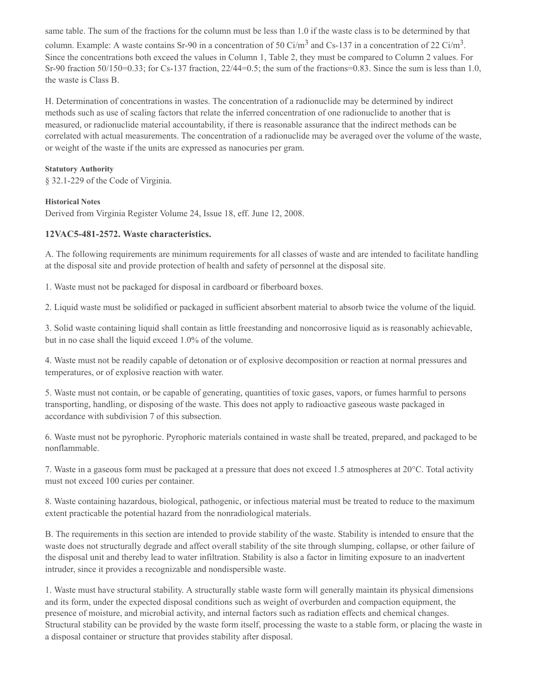same table. The sum of the fractions for the column must be less than 1.0 if the waste class is to be determined by that column. Example: A waste contains Sr-90 in a concentration of 50 Ci/m<sup>3</sup> and Cs-137 in a concentration of 22 Ci/m<sup>3</sup>. Since the concentrations both exceed the values in Column 1, Table 2, they must be compared to Column 2 values. For Sr-90 fraction 50/150=0.33; for Cs-137 fraction, 22/44=0.5; the sum of the fractions=0.83. Since the sum is less than 1.0, the waste is Class B.

H. Determination of concentrations in wastes. The concentration of a radionuclide may be determined by indirect methods such as use of scaling factors that relate the inferred concentration of one radionuclide to another that is measured, or radionuclide material accountability, if there is reasonable assurance that the indirect methods can be correlated with actual measurements. The concentration of a radionuclide may be averaged over the volume of the waste, or weight of the waste if the units are expressed as nanocuries per gram.

### **Statutory Authority**

§ 32.1-229 of the Code of Virginia.

#### **Historical Notes**

Derived from Virginia Register Volume 24, Issue 18, eff. June 12, 2008.

## **12VAC5-481-2572. Waste characteristics.**

A. The following requirements are minimum requirements for all classes of waste and are intended to facilitate handling at the disposal site and provide protection of health and safety of personnel at the disposal site.

1. Waste must not be packaged for disposal in cardboard or fiberboard boxes.

2. Liquid waste must be solidified or packaged in sufficient absorbent material to absorb twice the volume of the liquid.

3. Solid waste containing liquid shall contain as little freestanding and noncorrosive liquid as is reasonably achievable, but in no case shall the liquid exceed 1.0% of the volume.

4. Waste must not be readily capable of detonation or of explosive decomposition or reaction at normal pressures and temperatures, or of explosive reaction with water.

5. Waste must not contain, or be capable of generating, quantities of toxic gases, vapors, or fumes harmful to persons transporting, handling, or disposing of the waste. This does not apply to radioactive gaseous waste packaged in accordance with subdivision 7 of this subsection.

6. Waste must not be pyrophoric. Pyrophoric materials contained in waste shall be treated, prepared, and packaged to be nonflammable.

7. Waste in a gaseous form must be packaged at a pressure that does not exceed 1.5 atmospheres at 20°C. Total activity must not exceed 100 curies per container.

8. Waste containing hazardous, biological, pathogenic, or infectious material must be treated to reduce to the maximum extent practicable the potential hazard from the nonradiological materials.

B. The requirements in this section are intended to provide stability of the waste. Stability is intended to ensure that the waste does not structurally degrade and affect overall stability of the site through slumping, collapse, or other failure of the disposal unit and thereby lead to water infiltration. Stability is also a factor in limiting exposure to an inadvertent intruder, since it provides a recognizable and nondispersible waste.

1. Waste must have structural stability. A structurally stable waste form will generally maintain its physical dimensions and its form, under the expected disposal conditions such as weight of overburden and compaction equipment, the presence of moisture, and microbial activity, and internal factors such as radiation effects and chemical changes. Structural stability can be provided by the waste form itself, processing the waste to a stable form, or placing the waste in a disposal container or structure that provides stability after disposal.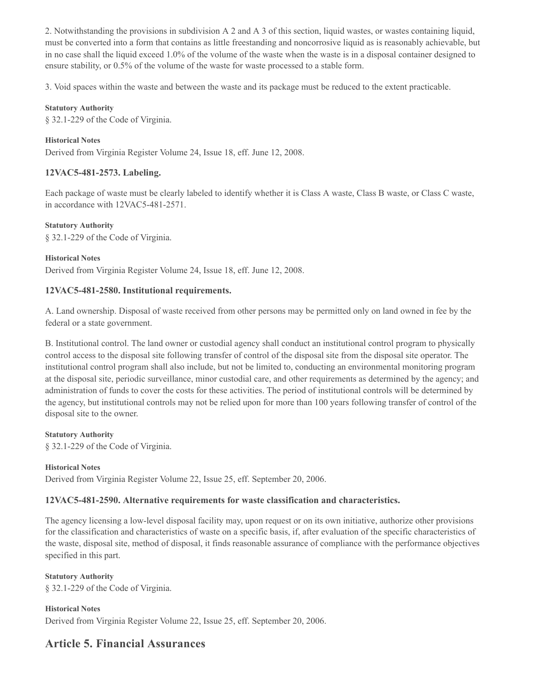2. Notwithstanding the provisions in subdivision A 2 and A 3 of this section, liquid wastes, or wastes containing liquid, must be converted into a form that contains as little freestanding and noncorrosive liquid as is reasonably achievable, but in no case shall the liquid exceed 1.0% of the volume of the waste when the waste is in a disposal container designed to ensure stability, or 0.5% of the volume of the waste for waste processed to a stable form.

3. Void spaces within the waste and between the waste and its package must be reduced to the extent practicable.

#### **Statutory Authority**

§ 32.1-229 of the Code of Virginia.

## **Historical Notes**

Derived from Virginia Register Volume 24, Issue 18, eff. June 12, 2008.

## **12VAC5-481-2573. Labeling.**

Each package of waste must be clearly labeled to identify whether it is Class A waste, Class B waste, or Class C waste, in accordance with 12VAC5-481-2571.

**Statutory Authority**

§ 32.1-229 of the Code of Virginia.

#### **Historical Notes**

Derived from Virginia Register Volume 24, Issue 18, eff. June 12, 2008.

## **12VAC5-481-2580. Institutional requirements.**

A. Land ownership. Disposal of waste received from other persons may be permitted only on land owned in fee by the federal or a state government.

B. Institutional control. The land owner or custodial agency shall conduct an institutional control program to physically control access to the disposal site following transfer of control of the disposal site from the disposal site operator. The institutional control program shall also include, but not be limited to, conducting an environmental monitoring program at the disposal site, periodic surveillance, minor custodial care, and other requirements as determined by the agency; and administration of funds to cover the costs for these activities. The period of institutional controls will be determined by the agency, but institutional controls may not be relied upon for more than 100 years following transfer of control of the disposal site to the owner.

**Statutory Authority** § 32.1-229 of the Code of Virginia.

#### **Historical Notes**

Derived from Virginia Register Volume 22, Issue 25, eff. September 20, 2006.

## **12VAC5-481-2590. Alternative requirements for waste classification and characteristics.**

The agency licensing a low-level disposal facility may, upon request or on its own initiative, authorize other provisions for the classification and characteristics of waste on a specific basis, if, after evaluation of the specific characteristics of the waste, disposal site, method of disposal, it finds reasonable assurance of compliance with the performance objectives specified in this part.

#### **Statutory Authority**

§ 32.1-229 of the Code of Virginia.

#### **Historical Notes**

Derived from Virginia Register Volume 22, Issue 25, eff. September 20, 2006.

# **Article 5. Financial Assurances**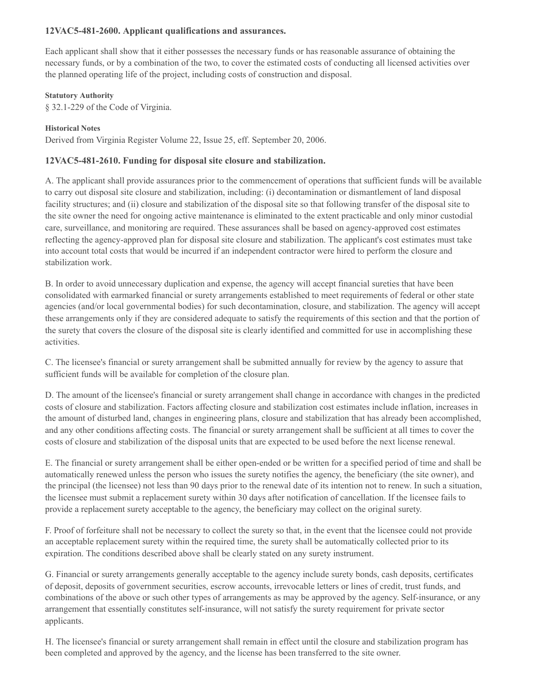## **12VAC5-481-2600. Applicant qualifications and assurances.**

Each applicant shall show that it either possesses the necessary funds or has reasonable assurance of obtaining the necessary funds, or by a combination of the two, to cover the estimated costs of conducting all licensed activities over the planned operating life of the project, including costs of construction and disposal.

#### **Statutory Authority**

§ 32.1-229 of the Code of Virginia.

## **Historical Notes**

Derived from Virginia Register Volume 22, Issue 25, eff. September 20, 2006.

## **12VAC5-481-2610. Funding for disposal site closure and stabilization.**

A. The applicant shall provide assurances prior to the commencement of operations that sufficient funds will be available to carry out disposal site closure and stabilization, including: (i) decontamination or dismantlement of land disposal facility structures; and (ii) closure and stabilization of the disposal site so that following transfer of the disposal site to the site owner the need for ongoing active maintenance is eliminated to the extent practicable and only minor custodial care, surveillance, and monitoring are required. These assurances shall be based on agency-approved cost estimates reflecting the agency-approved plan for disposal site closure and stabilization. The applicant's cost estimates must take into account total costs that would be incurred if an independent contractor were hired to perform the closure and stabilization work.

B. In order to avoid unnecessary duplication and expense, the agency will accept financial sureties that have been consolidated with earmarked financial or surety arrangements established to meet requirements of federal or other state agencies (and/or local governmental bodies) for such decontamination, closure, and stabilization. The agency will accept these arrangements only if they are considered adequate to satisfy the requirements of this section and that the portion of the surety that covers the closure of the disposal site is clearly identified and committed for use in accomplishing these activities.

C. The licensee's financial or surety arrangement shall be submitted annually for review by the agency to assure that sufficient funds will be available for completion of the closure plan.

D. The amount of the licensee's financial or surety arrangement shall change in accordance with changes in the predicted costs of closure and stabilization. Factors affecting closure and stabilization cost estimates include inflation, increases in the amount of disturbed land, changes in engineering plans, closure and stabilization that has already been accomplished, and any other conditions affecting costs. The financial or surety arrangement shall be sufficient at all times to cover the costs of closure and stabilization of the disposal units that are expected to be used before the next license renewal.

E. The financial or surety arrangement shall be either open-ended or be written for a specified period of time and shall be automatically renewed unless the person who issues the surety notifies the agency, the beneficiary (the site owner), and the principal (the licensee) not less than 90 days prior to the renewal date of its intention not to renew. In such a situation, the licensee must submit a replacement surety within 30 days after notification of cancellation. If the licensee fails to provide a replacement surety acceptable to the agency, the beneficiary may collect on the original surety.

F. Proof of forfeiture shall not be necessary to collect the surety so that, in the event that the licensee could not provide an acceptable replacement surety within the required time, the surety shall be automatically collected prior to its expiration. The conditions described above shall be clearly stated on any surety instrument.

G. Financial or surety arrangements generally acceptable to the agency include surety bonds, cash deposits, certificates of deposit, deposits of government securities, escrow accounts, irrevocable letters or lines of credit, trust funds, and combinations of the above or such other types of arrangements as may be approved by the agency. Self-insurance, or any arrangement that essentially constitutes self-insurance, will not satisfy the surety requirement for private sector applicants.

H. The licensee's financial or surety arrangement shall remain in effect until the closure and stabilization program has been completed and approved by the agency, and the license has been transferred to the site owner.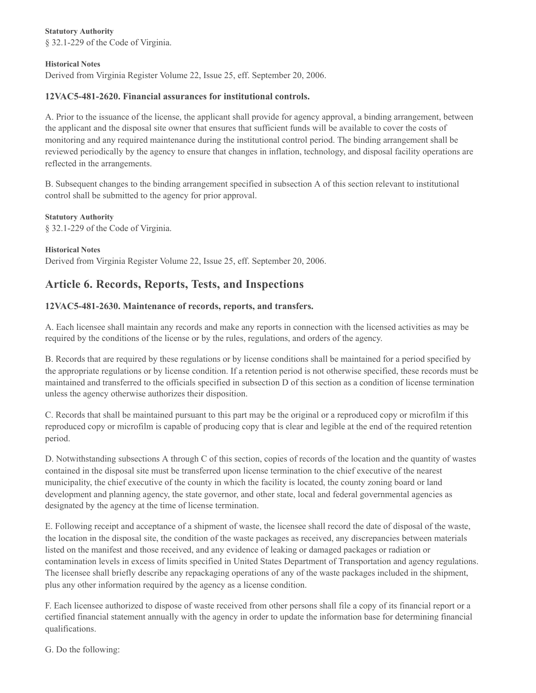#### **Statutory Authority**

§ 32.1-229 of the Code of Virginia.

#### **Historical Notes**

Derived from Virginia Register Volume 22, Issue 25, eff. September 20, 2006.

## **12VAC5-481-2620. Financial assurances for institutional controls.**

A. Prior to the issuance of the license, the applicant shall provide for agency approval, a binding arrangement, between the applicant and the disposal site owner that ensures that sufficient funds will be available to cover the costs of monitoring and any required maintenance during the institutional control period. The binding arrangement shall be reviewed periodically by the agency to ensure that changes in inflation, technology, and disposal facility operations are reflected in the arrangements.

B. Subsequent changes to the binding arrangement specified in subsection A of this section relevant to institutional control shall be submitted to the agency for prior approval.

## **Statutory Authority**

§ 32.1-229 of the Code of Virginia.

#### **Historical Notes**

Derived from Virginia Register Volume 22, Issue 25, eff. September 20, 2006.

# **Article 6. Records, Reports, Tests, and Inspections**

#### **12VAC5-481-2630. Maintenance of records, reports, and transfers.**

A. Each licensee shall maintain any records and make any reports in connection with the licensed activities as may be required by the conditions of the license or by the rules, regulations, and orders of the agency.

B. Records that are required by these regulations or by license conditions shall be maintained for a period specified by the appropriate regulations or by license condition. If a retention period is not otherwise specified, these records must be maintained and transferred to the officials specified in subsection D of this section as a condition of license termination unless the agency otherwise authorizes their disposition.

C. Records that shall be maintained pursuant to this part may be the original or a reproduced copy or microfilm if this reproduced copy or microfilm is capable of producing copy that is clear and legible at the end of the required retention period.

D. Notwithstanding subsections A through C of this section, copies of records of the location and the quantity of wastes contained in the disposal site must be transferred upon license termination to the chief executive of the nearest municipality, the chief executive of the county in which the facility is located, the county zoning board or land development and planning agency, the state governor, and other state, local and federal governmental agencies as designated by the agency at the time of license termination.

E. Following receipt and acceptance of a shipment of waste, the licensee shall record the date of disposal of the waste, the location in the disposal site, the condition of the waste packages as received, any discrepancies between materials listed on the manifest and those received, and any evidence of leaking or damaged packages or radiation or contamination levels in excess of limits specified in United States Department of Transportation and agency regulations. The licensee shall briefly describe any repackaging operations of any of the waste packages included in the shipment, plus any other information required by the agency as a license condition.

F. Each licensee authorized to dispose of waste received from other persons shall file a copy of its financial report or a certified financial statement annually with the agency in order to update the information base for determining financial qualifications.

G. Do the following: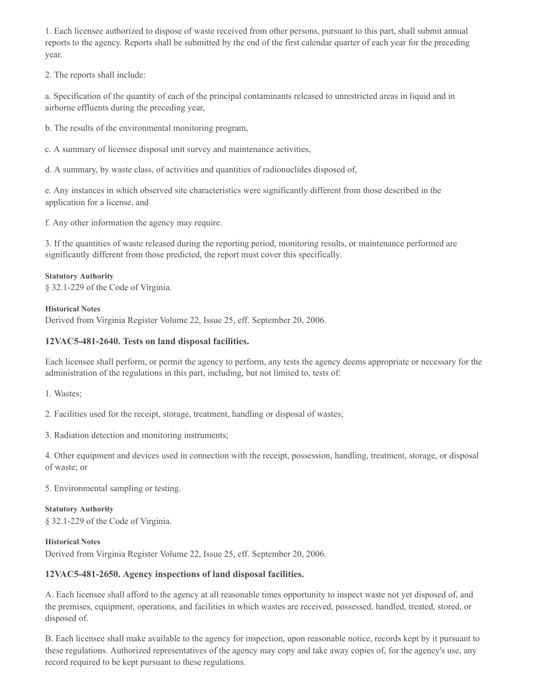1. Each licensee authorized to dispose of waste received from other persons, pursuant to this part, shall submit annual reports to the agency. Reports shall be submitted by the end of the first calendar quarter of each year for the preceding year.

2. The reports shall include:

a. Specification of the quantity of each of the principal contaminants released to unrestricted areas in liquid and in airborne effluents during the preceding year,

b. The results of the environmental monitoring program,

c. A summary of licensee disposal unit survey and maintenance activities,

d. A summary, by waste class, of activities and quantities of radionuclides disposed of,

e. Any instances in which observed site characteristics were significantly different from those described in the application for a license, and

f. Any other information the agency may require.

3. If the quantities of waste released during the reporting period, monitoring results, or maintenance performed are significantly different from those predicted, the report must cover this specifically.

#### **Statutory Authority**

§ 32.1-229 of the Code of Virginia.

#### **Historical Notes**

Derived from Virginia Register Volume 22, Issue 25, eff. September 20, 2006.

## **12VAC5-481-2640. Tests on land disposal facilities.**

Each licensee shall perform, or permit the agency to perform, any tests the agency deems appropriate or necessary for the administration of the regulations in this part, including, but not limited to, tests of:

1. Wastes;

2. Facilities used for the receipt, storage, treatment, handling or disposal of wastes;

3. Radiation detection and monitoring instruments;

4. Other equipment and devices used in connection with the receipt, possession, handling, treatment, storage, or disposal of waste; or

5. Environmental sampling or testing.

## **Statutory Authority**

§ 32.1-229 of the Code of Virginia.

**Historical Notes** Derived from Virginia Register Volume 22, Issue 25, eff. September 20, 2006.

## **12VAC5-481-2650. Agency inspections of land disposal facilities.**

A. Each licensee shall afford to the agency at all reasonable times opportunity to inspect waste not yet disposed of, and the premises, equipment, operations, and facilities in which wastes are received, possessed, handled, treated, stored, or disposed of.

B. Each licensee shall make available to the agency for inspection, upon reasonable notice, records kept by it pursuant to these regulations. Authorized representatives of the agency may copy and take away copies of, for the agency's use, any record required to be kept pursuant to these regulations.